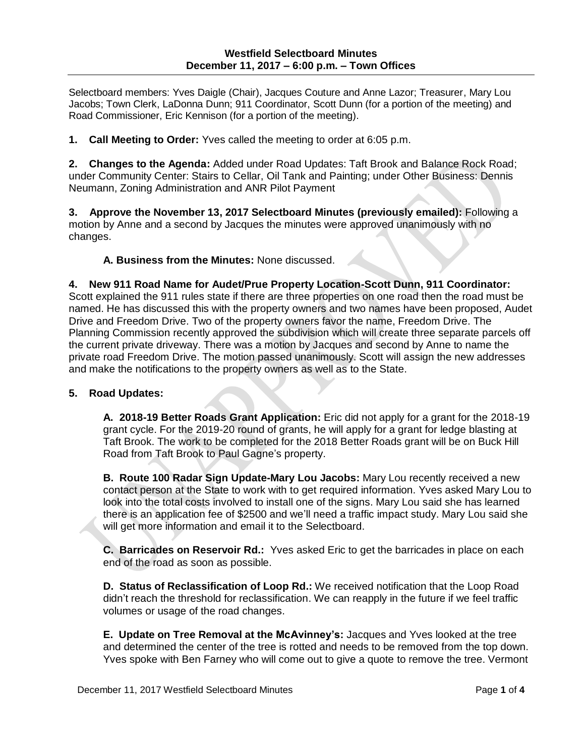Selectboard members: Yves Daigle (Chair), Jacques Couture and Anne Lazor; Treasurer, Mary Lou Jacobs; Town Clerk, LaDonna Dunn; 911 Coordinator, Scott Dunn (for a portion of the meeting) and Road Commissioner, Eric Kennison (for a portion of the meeting).

**1. Call Meeting to Order:** Yves called the meeting to order at 6:05 p.m.

**2. Changes to the Agenda:** Added under Road Updates: Taft Brook and Balance Rock Road; under Community Center: Stairs to Cellar, Oil Tank and Painting; under Other Business: Dennis Neumann, Zoning Administration and ANR Pilot Payment

**3. Approve the November 13, 2017 Selectboard Minutes (previously emailed):** Following a motion by Anne and a second by Jacques the minutes were approved unanimously with no changes.

**A. Business from the Minutes:** None discussed.

**4. New 911 Road Name for Audet/Prue Property Location-Scott Dunn, 911 Coordinator:** Scott explained the 911 rules state if there are three properties on one road then the road must be named. He has discussed this with the property owners and two names have been proposed, Audet Drive and Freedom Drive. Two of the property owners favor the name, Freedom Drive. The Planning Commission recently approved the subdivision which will create three separate parcels off the current private driveway. There was a motion by Jacques and second by Anne to name the private road Freedom Drive. The motion passed unanimously. Scott will assign the new addresses and make the notifications to the property owners as well as to the State.

### **5. Road Updates:**

**A. 2018-19 Better Roads Grant Application:** Eric did not apply for a grant for the 2018-19 grant cycle. For the 2019-20 round of grants, he will apply for a grant for ledge blasting at Taft Brook. The work to be completed for the 2018 Better Roads grant will be on Buck Hill Road from Taft Brook to Paul Gagne's property.

**B. Route 100 Radar Sign Update-Mary Lou Jacobs:** Mary Lou recently received a new contact person at the State to work with to get required information. Yves asked Mary Lou to look into the total costs involved to install one of the signs. Mary Lou said she has learned there is an application fee of \$2500 and we'll need a traffic impact study. Mary Lou said she will get more information and email it to the Selectboard.

**C. Barricades on Reservoir Rd.:** Yves asked Eric to get the barricades in place on each end of the road as soon as possible.

**D. Status of Reclassification of Loop Rd.:** We received notification that the Loop Road didn't reach the threshold for reclassification. We can reapply in the future if we feel traffic volumes or usage of the road changes.

**E. Update on Tree Removal at the McAvinney's:** Jacques and Yves looked at the tree and determined the center of the tree is rotted and needs to be removed from the top down. Yves spoke with Ben Farney who will come out to give a quote to remove the tree. Vermont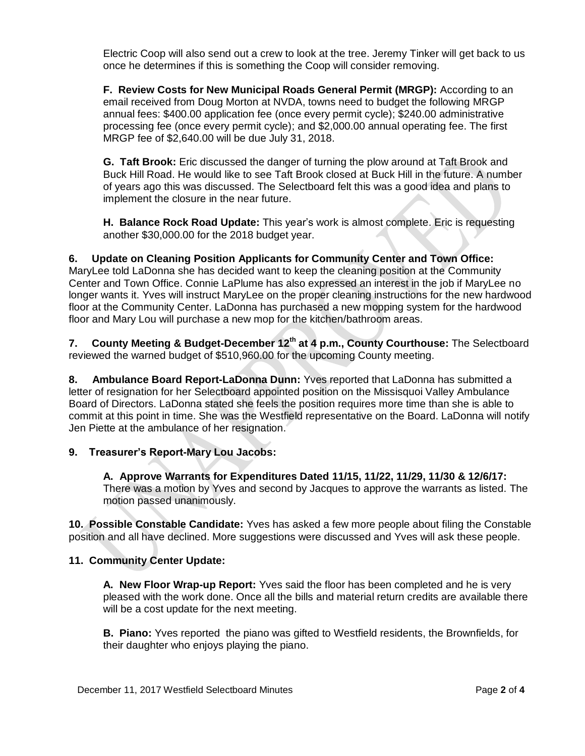Electric Coop will also send out a crew to look at the tree. Jeremy Tinker will get back to us once he determines if this is something the Coop will consider removing.

**F. Review Costs for New Municipal Roads General Permit (MRGP):** According to an email received from Doug Morton at NVDA, towns need to budget the following MRGP annual fees: \$400.00 application fee (once every permit cycle); \$240.00 administrative processing fee (once every permit cycle); and \$2,000.00 annual operating fee. The first MRGP fee of \$2,640.00 will be due July 31, 2018.

**G. Taft Brook:** Eric discussed the danger of turning the plow around at Taft Brook and Buck Hill Road. He would like to see Taft Brook closed at Buck Hill in the future. A number of years ago this was discussed. The Selectboard felt this was a good idea and plans to implement the closure in the near future.

**H. Balance Rock Road Update:** This year's work is almost complete. Eric is requesting another \$30,000.00 for the 2018 budget year.

# **6. Update on Cleaning Position Applicants for Community Center and Town Office:**

MaryLee told LaDonna she has decided want to keep the cleaning position at the Community Center and Town Office. Connie LaPlume has also expressed an interest in the job if MaryLee no longer wants it. Yves will instruct MaryLee on the proper cleaning instructions for the new hardwood floor at the Community Center. LaDonna has purchased a new mopping system for the hardwood floor and Mary Lou will purchase a new mop for the kitchen/bathroom areas.

**7. County Meeting & Budget-December 12th at 4 p.m., County Courthouse:** The Selectboard reviewed the warned budget of \$510,960.00 for the upcoming County meeting.

**8. Ambulance Board Report-LaDonna Dunn:** Yves reported that LaDonna has submitted a letter of resignation for her Selectboard appointed position on the Missisquoi Valley Ambulance Board of Directors. LaDonna stated she feels the position requires more time than she is able to commit at this point in time. She was the Westfield representative on the Board. LaDonna will notify Jen Piette at the ambulance of her resignation.

# **9. Treasurer's Report-Mary Lou Jacobs:**

**A. Approve Warrants for Expenditures Dated 11/15, 11/22, 11/29, 11/30 & 12/6/17:** There was a motion by Yves and second by Jacques to approve the warrants as listed. The motion passed unanimously.

**10. Possible Constable Candidate:** Yves has asked a few more people about filing the Constable position and all have declined. More suggestions were discussed and Yves will ask these people.

### **11. Community Center Update:**

**A. New Floor Wrap-up Report:** Yves said the floor has been completed and he is very pleased with the work done. Once all the bills and material return credits are available there will be a cost update for the next meeting.

**B. Piano:** Yves reported the piano was gifted to Westfield residents, the Brownfields, for their daughter who enjoys playing the piano.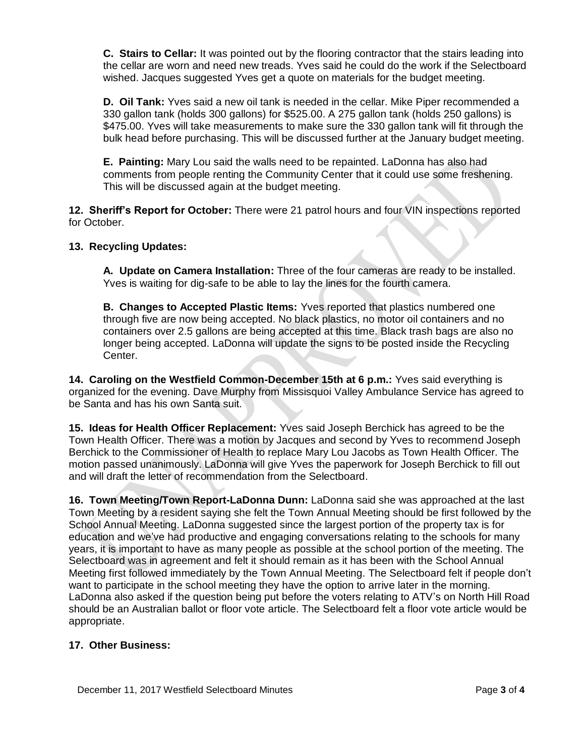**C. Stairs to Cellar:** It was pointed out by the flooring contractor that the stairs leading into the cellar are worn and need new treads. Yves said he could do the work if the Selectboard wished. Jacques suggested Yves get a quote on materials for the budget meeting.

**D. Oil Tank:** Yves said a new oil tank is needed in the cellar. Mike Piper recommended a 330 gallon tank (holds 300 gallons) for \$525.00. A 275 gallon tank (holds 250 gallons) is \$475.00. Yves will take measurements to make sure the 330 gallon tank will fit through the bulk head before purchasing. This will be discussed further at the January budget meeting.

**E. Painting:** Mary Lou said the walls need to be repainted. LaDonna has also had comments from people renting the Community Center that it could use some freshening. This will be discussed again at the budget meeting.

**12. Sheriff's Report for October:** There were 21 patrol hours and four VIN inspections reported for October.

# **13. Recycling Updates:**

**A. Update on Camera Installation:** Three of the four cameras are ready to be installed. Yves is waiting for dig-safe to be able to lay the lines for the fourth camera.

**B. Changes to Accepted Plastic Items:** Yves reported that plastics numbered one through five are now being accepted. No black plastics, no motor oil containers and no containers over 2.5 gallons are being accepted at this time. Black trash bags are also no longer being accepted. LaDonna will update the signs to be posted inside the Recycling Center.

**14. Caroling on the Westfield Common-December 15th at 6 p.m.:** Yves said everything is organized for the evening. Dave Murphy from Missisquoi Valley Ambulance Service has agreed to be Santa and has his own Santa suit.

**15. Ideas for Health Officer Replacement:** Yves said Joseph Berchick has agreed to be the Town Health Officer. There was a motion by Jacques and second by Yves to recommend Joseph Berchick to the Commissioner of Health to replace Mary Lou Jacobs as Town Health Officer. The motion passed unanimously. LaDonna will give Yves the paperwork for Joseph Berchick to fill out and will draft the letter of recommendation from the Selectboard.

**16. Town Meeting/Town Report-LaDonna Dunn:** LaDonna said she was approached at the last Town Meeting by a resident saying she felt the Town Annual Meeting should be first followed by the School Annual Meeting. LaDonna suggested since the largest portion of the property tax is for education and we've had productive and engaging conversations relating to the schools for many years, it is important to have as many people as possible at the school portion of the meeting. The Selectboard was in agreement and felt it should remain as it has been with the School Annual Meeting first followed immediately by the Town Annual Meeting. The Selectboard felt if people don't want to participate in the school meeting they have the option to arrive later in the morning. LaDonna also asked if the question being put before the voters relating to ATV's on North Hill Road should be an Australian ballot or floor vote article. The Selectboard felt a floor vote article would be appropriate.

### **17. Other Business:**